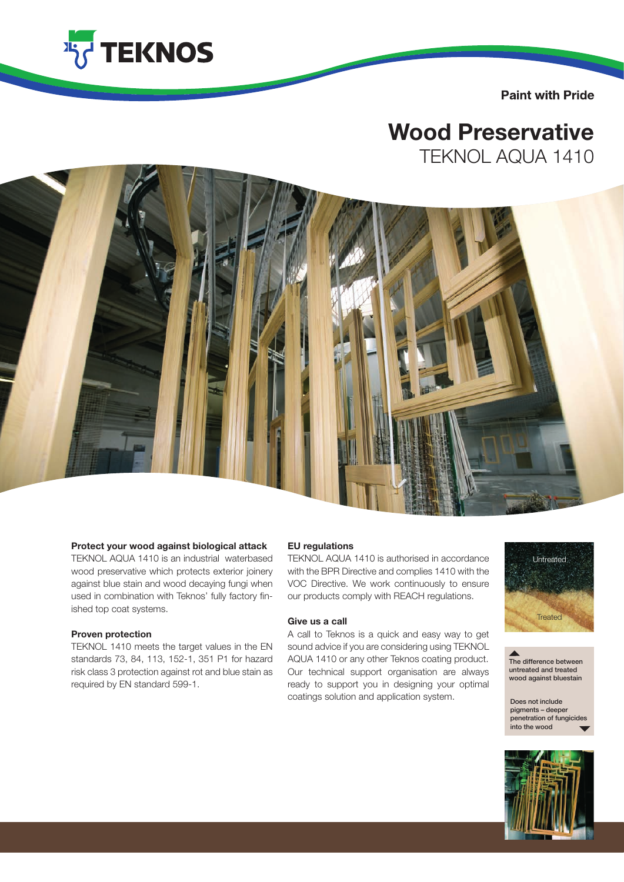

**Paint with Pride** 

# Wood Preservative

TEKNOL AQUA 1410



#### Protect your wood against biological attack

TEKNOL AQUA 1410 is an industrial waterbased wood preservative which protects exterior joinery against blue stain and wood decaying fungi when used in combination with Teknos' fully factory finished top coat systems.

#### Proven protection

TEKNOL 1410 meets the target values in the EN standards 73, 84, 113, 152-1, 351 P1 for hazard risk class 3 protection against rot and blue stain as required by EN standard 599-1.

#### EU regulations

TEKNOL AQUA 1410 is authorised in accordance with the BPR Directive and complies 1410 with the VOC Directive. We work continuously to ensure our products comply with REACH regulations.

### Give us a call

A call to Teknos is a quick and easy way to get sound advice if you are considering using TEKNOL AQUA 1410 or any other Teknos coating product. Our technical support organisation are always ready to support you in designing your optimal coatings solution and application system.



The difference between untreated and treated wood against bluestain

Does not include pigments – deeper penetration of fungicide into the wood